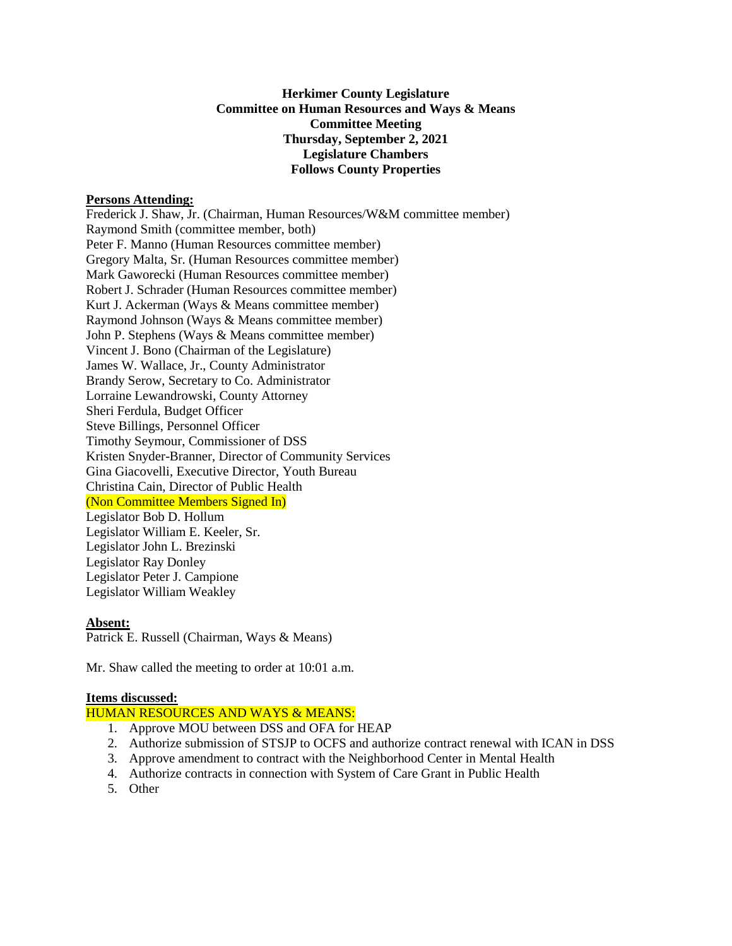# **Herkimer County Legislature Committee on Human Resources and Ways & Means Committee Meeting Thursday, September 2, 2021 Legislature Chambers Follows County Properties**

### **Persons Attending:**

Frederick J. Shaw, Jr. (Chairman, Human Resources/W&M committee member) Raymond Smith (committee member, both) Peter F. Manno (Human Resources committee member) Gregory Malta, Sr. (Human Resources committee member) Mark Gaworecki (Human Resources committee member) Robert J. Schrader (Human Resources committee member) Kurt J. Ackerman (Ways & Means committee member) Raymond Johnson (Ways & Means committee member) John P. Stephens (Ways & Means committee member) Vincent J. Bono (Chairman of the Legislature) James W. Wallace, Jr., County Administrator Brandy Serow, Secretary to Co. Administrator Lorraine Lewandrowski, County Attorney Sheri Ferdula, Budget Officer Steve Billings, Personnel Officer Timothy Seymour, Commissioner of DSS Kristen Snyder-Branner, Director of Community Services Gina Giacovelli, Executive Director, Youth Bureau Christina Cain, Director of Public Health (Non Committee Members Signed In) Legislator Bob D. Hollum Legislator William E. Keeler, Sr. Legislator John L. Brezinski Legislator Ray Donley Legislator Peter J. Campione Legislator William Weakley

#### **Absent:**

Patrick E. Russell (Chairman, Ways & Means)

Mr. Shaw called the meeting to order at 10:01 a.m.

### **Items discussed:**

HUMAN RESOURCES AND WAYS & MEANS:

- 1. Approve MOU between DSS and OFA for HEAP
- 2. Authorize submission of STSJP to OCFS and authorize contract renewal with ICAN in DSS
- 3. Approve amendment to contract with the Neighborhood Center in Mental Health
- 4. Authorize contracts in connection with System of Care Grant in Public Health
- 5. Other